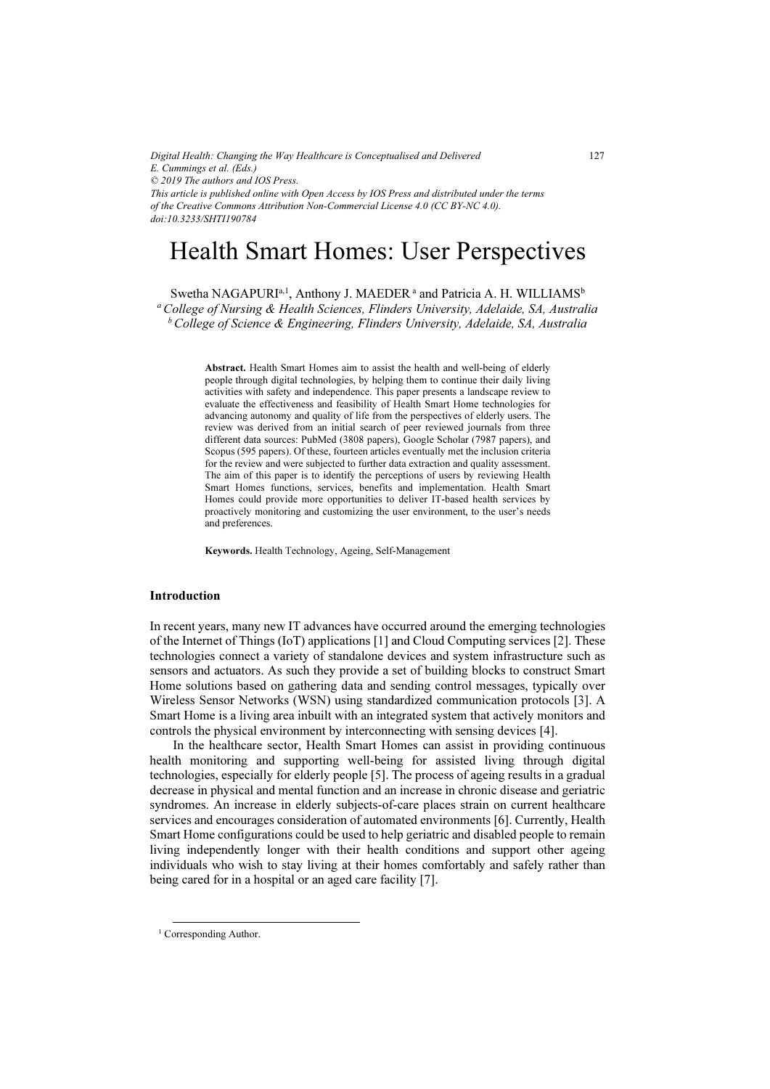*Digital Health: Changing the Way Healthcare is Conceptualised and Delivered E. Cummings et al. (Eds.) © 2019 The authors and IOS Press. This article is published online with Open Access by IOS Press and distributed under the terms of the Creative Commons Attribution Non-Commercial License 4.0 (CC BY-NC 4.0). doi:10.3233/SHTI190784*

# Health Smart Homes: User Perspectives

Swetha NAGAPURI<sup>a, 1</sup>, Anthony J. MAEDER<sup>a</sup> and Patricia A. H. WILLIAMS<sup>b</sup> <sup>a</sup> College of Nursing & Health Sciences, Flinders University, Adelaide, SA, Australia  $b$  College of Science & Engineering, Flinders University, Adelaide, SA, Australia

> Abstract. Health Smart Homes aim to assist the health and well-being of elderly people through digital technologies, by helping them to continue their daily living activities with safety and independence. This paper presents a landscape review to evaluate the effectiveness and feasibility of Health Smart Home technologies for advancing autonomy and quality of life from the perspectives of elderly users. The review was derived from an initial search of peer reviewed journals from three different data sources: PubMed (3808 papers), Google Scholar (7987 papers), and Scopus (595 papers). Of these, fourteen articles eventually met the inclusion criteria for the review and were subjected to further data extraction and quality assessment. The aim of this paper is to identify the perceptions of users by reviewing Health Smart Homes functions, services, benefits and implementation. Health Smart Homes could provide more opportunities to deliver IT-based health services by proactively monitoring and customizing the user environment, to the user's needs and preferences.

Keywords. Health Technology, Ageing, Self-Management

# Introduction

In recent years, many new IT advances have occurred around the emerging technologies of the Internet of Things (IoT) applications [1] and Cloud Computing services [2]. These technologies connect a variety of standalone devices and system infrastructure such as sensors and actuators. As such they provide a set of building blocks to construct Smart Home solutions based on gathering data and sending control messages, typically over Wireless Sensor Networks (WSN) using standardized communication protocols [3]. A Smart Home is a living area inbuilt with an integrated system that actively monitors and controls the physical environment by interconnecting with sensing devices [4].

In the healthcare sector, Health Smart Homes can assist in providing continuous health monitoring and supporting well-being for assisted living through digital technologies, especially for elderly people [5]. The process of ageing results in a gradual decrease in physical and mental function and an increase in chronic disease and geriatric syndromes. An increase in elderly subjects-of-care places strain on current healthcare services and encourages consideration of automated environments [6]. Currently, Health Smart Home configurations could be used to help geriatric and disabled people to remain living independently longer with their health conditions and support other ageing individuals who wish to stay living at their homes comfortably and safely rather than being cared for in a hospital or an aged care facility [7].

127

<sup>&</sup>lt;sup>1</sup> Corresponding Author.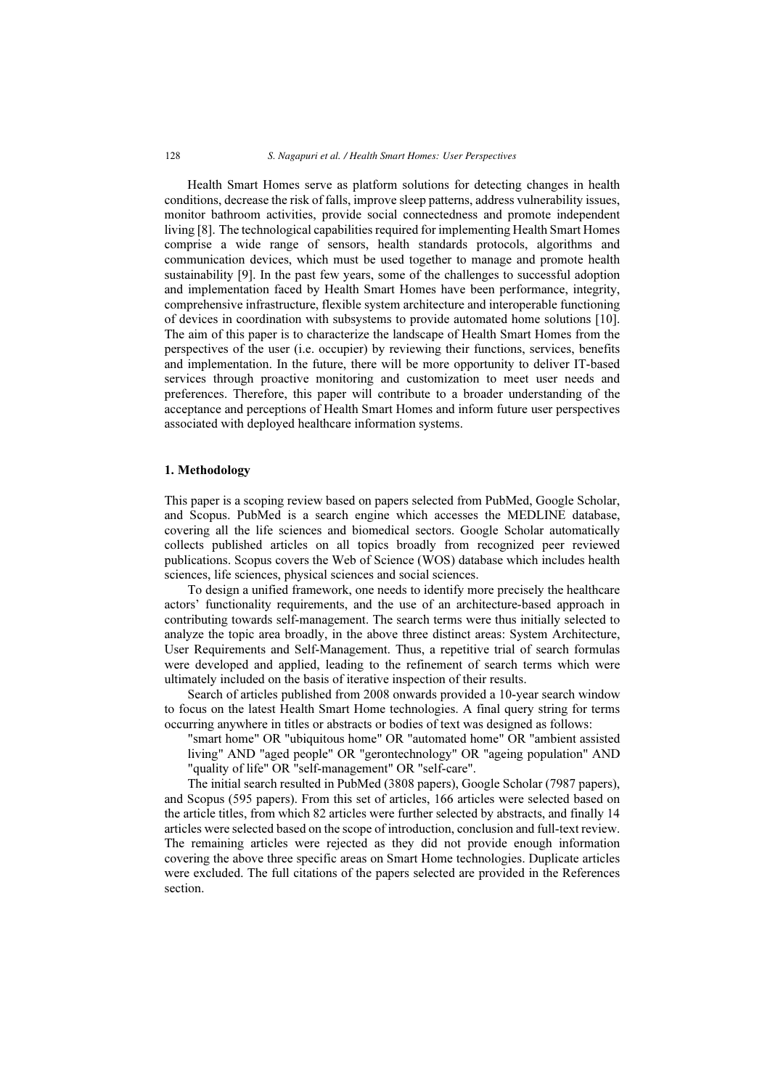Health Smart Homes serve as platform solutions for detecting changes in health conditions, decrease the risk of falls, improve sleep patterns, address vulnerability issues, monitor bathroom activities, provide social connectedness and promote independent living [8]. The technological capabilities required for implementing Health Smart Homes comprise a wide range of sensors, health standards protocols, algorithms and communication devices, which must be used together to manage and promote health sustainability [9]. In the past few years, some of the challenges to successful adoption and implementation faced by Health Smart Homes have been performance, integrity, comprehensive infrastructure, flexible system architecture and interoperable functioning of devices in coordination with subsystems to provide automated home solutions [10]. The aim of this paper is to characterize the landscape of Health Smart Homes from the perspectives of the user (i.e. occupier) by reviewing their functions, services, benefits and implementation. In the future, there will be more opportunity to deliver IT-based services through proactive monitoring and customization to meet user needs and preferences. Therefore, this paper will contribute to a broader understanding of the acceptance and perceptions of Health Smart Homes and inform future user perspectives associated with deployed healthcare information systems.

#### 1. Methodology

This paper is a scoping review based on papers selected from PubMed, Google Scholar, and Scopus. PubMed is a search engine which accesses the MEDLINE database, covering all the life sciences and biomedical sectors. Google Scholar automatically collects published articles on all topics broadly from recognized peer reviewed publications. Scopus covers the Web of Science (WOS) database which includes health sciences, life sciences, physical sciences and social sciences.

To design a unified framework, one needs to identify more precisely the healthcare actors' functionality requirements, and the use of an architecture-based approach in contributing towards self-management. The search terms were thus initially selected to analyze the topic area broadly, in the above three distinct areas: System Architecture, User Requirements and Self-Management. Thus, a repetitive trial of search formulas were developed and applied, leading to the refinement of search terms which were ultimately included on the basis of iterative inspection of their results.

Search of articles published from 2008 onwards provided a 10-year search window to focus on the latest Health Smart Home technologies. A final query string for terms occurring anywhere in titles or abstracts or bodies of text was designed as follows:

"smart home" OR "ubiquitous home" OR "automated home" OR "ambient assisted living" AND "aged people" OR "gerontechnology" OR "ageing population" AND "quality of life" OR "self-management" OR "self-care".

The initial search resulted in PubMed (3808 papers), Google Scholar (7987 papers), and Scopus (595 papers). From this set of articles, 166 articles were selected based on the article titles, from which 82 articles were further selected by abstracts, and finally 14 articles were selected based on the scope of introduction, conclusion and full-text review. The remaining articles were rejected as they did not provide enough information covering the above three specific areas on Smart Home technologies. Duplicate articles were excluded. The full citations of the papers selected are provided in the References section.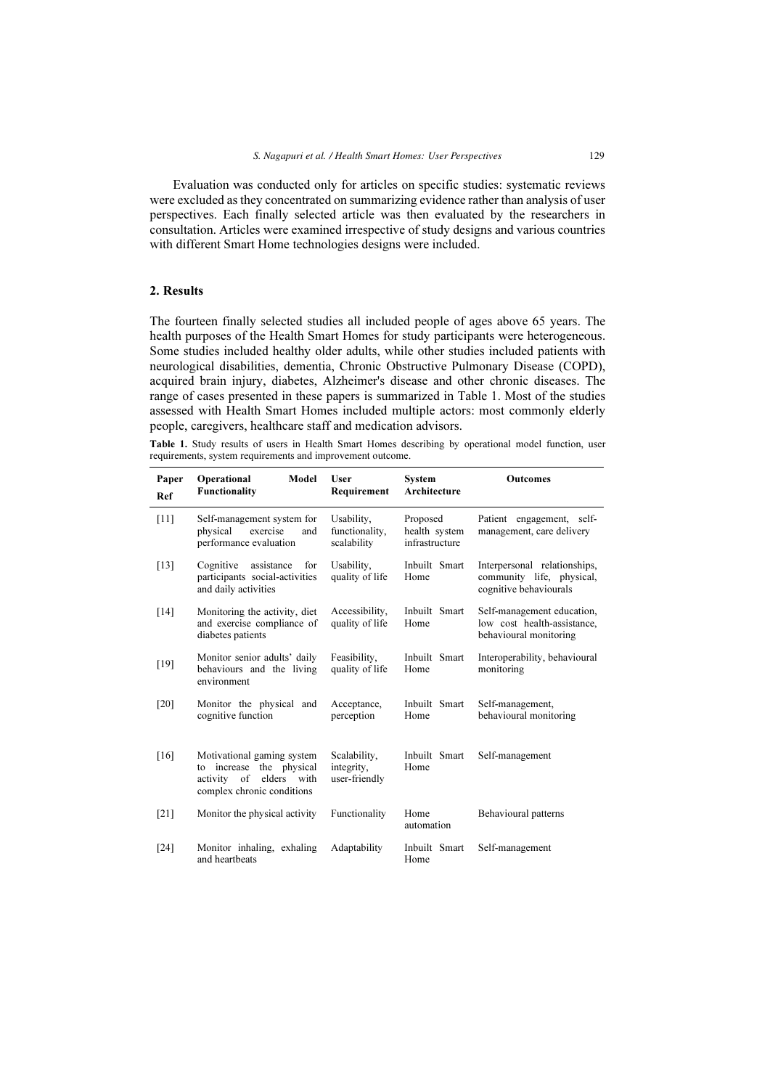Evaluation was conducted only for articles on specific studies: systematic reviews were excluded as they concentrated on summarizing evidence rather than analysis of user perspectives. Each finally selected article was then evaluated by the researchers in consultation. Articles were examined irrespective of study designs and various countries with different Smart Home technologies designs were included.

# 2. Results

The fourteen finally selected studies all included people of ages above 65 years. The health purposes of the Health Smart Homes for study participants were heterogeneous. Some studies included healthy older adults, while other studies included patients with neurological disabilities, dementia, Chronic Obstructive Pulmonary Disease (COPD), acquired brain injury, diabetes, Alzheimer's disease and other chronic diseases. The range of cases presented in these papers is summarized in Table 1. Most of the studies assessed with Health Smart Homes included multiple actors: most commonly elderly people, caregivers, healthcare staff and medication advisors.

Table 1. Study results of users in Health Smart Homes describing by operational model function, user requirements, system requirements and improvement outcome.

| Paper<br>Ref | Operational<br>Model<br><b>Functionality</b>                                                                                | <b>User</b><br>Requirement                  | System<br>Architecture                      | <b>Outcomes</b>                                                                     |
|--------------|-----------------------------------------------------------------------------------------------------------------------------|---------------------------------------------|---------------------------------------------|-------------------------------------------------------------------------------------|
| [11]         | Self-management system for<br>physical<br>exercise<br>and<br>performance evaluation                                         | Usability,<br>functionality,<br>scalability | Proposed<br>health system<br>infrastructure | Patient engagement, self-<br>management, care delivery                              |
| $[13]$       | Cognitive<br>assistance<br>for<br>participants social-activities<br>and daily activities                                    | Usability,<br>quality of life               | Inbuilt Smart<br>Home                       | Interpersonal relationships,<br>community life, physical,<br>cognitive behaviourals |
| $[14]$       | Monitoring the activity, diet<br>and exercise compliance of<br>diabetes patients                                            | Accessibility,<br>quality of life           | Inbuilt Smart<br>Home                       | Self-management education,<br>low cost health-assistance,<br>behavioural monitoring |
| [19]         | Monitor senior adults' daily<br>behaviours and the living<br>environment                                                    | Feasibility,<br>quality of life             | Inbuilt Smart<br>Home                       | Interoperability, behavioural<br>monitoring                                         |
| [20]         | Monitor the physical and<br>cognitive function                                                                              | Acceptance,<br>perception                   | Inbuilt Smart<br>Home                       | Self-management,<br>behavioural monitoring                                          |
| [16]         | Motivational gaming system<br>increase the physical<br>to<br>of<br>elders<br>activity<br>with<br>complex chronic conditions | Scalability,<br>integrity,<br>user-friendly | Inbuilt Smart<br>Home                       | Self-management                                                                     |
| [21]         | Monitor the physical activity                                                                                               | Functionality                               | Home<br>automation                          | Behavioural patterns                                                                |
| $[24]$       | Monitor inhaling, exhaling<br>and heartbeats                                                                                | Adaptability                                | Inbuilt Smart<br>Home                       | Self-management                                                                     |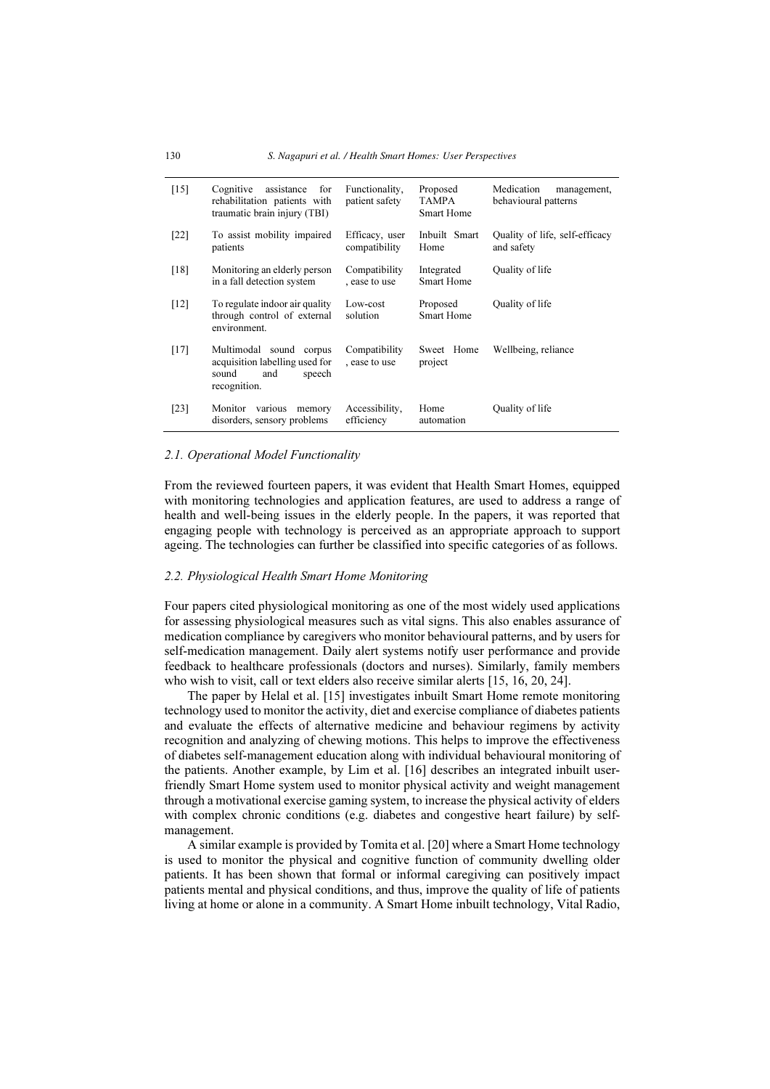| $[15]$ | Cognitive<br>assistance<br>for<br>rehabilitation patients with<br>traumatic brain injury (TBI)      | Functionality,<br>patient safety | Proposed<br><b>TAMPA</b><br><b>Smart Home</b> | Medication<br>management,<br>behavioural patterns |
|--------|-----------------------------------------------------------------------------------------------------|----------------------------------|-----------------------------------------------|---------------------------------------------------|
| $[22]$ | To assist mobility impaired<br>patients                                                             | Efficacy, user<br>compatibility  | Inbuilt Smart<br>Home                         | Quality of life, self-efficacy<br>and safety      |
| [18]   | Monitoring an elderly person<br>in a fall detection system                                          | Compatibility<br>, ease to use   | Integrated<br><b>Smart Home</b>               | Quality of life                                   |
| [12]   | To regulate indoor air quality<br>through control of external<br>environment.                       | Low-cost<br>solution             | Proposed<br><b>Smart Home</b>                 | Quality of life                                   |
| $[17]$ | Multimodal sound corpus<br>acquisition labelling used for<br>sound<br>and<br>speech<br>recognition. | Compatibility<br>, ease to use   | Sweet Home<br>project                         | Wellbeing, reliance                               |
| [23]   | Monitor<br>various<br>memory<br>disorders, sensory problems                                         | Accessibility,<br>efficiency     | Home<br>automation                            | Quality of life                                   |

#### 2.1. Operational Model Functionality

From the reviewed fourteen papers, it was evident that Health Smart Homes, equipped with monitoring technologies and application features, are used to address a range of health and well-being issues in the elderly people. In the papers, it was reported that engaging people with technology is perceived as an appropriate approach to support ageing. The technologies can further be classified into specific categories of as follows.

#### 2.2. Physiological Health Smart Home Monitoring

Four papers cited physiological monitoring as one of the most widely used applications for assessing physiological measures such as vital signs. This also enables assurance of medication compliance by caregivers who monitor behavioural patterns, and by users for self-medication management. Daily alert systems notify user performance and provide feedback to healthcare professionals (doctors and nurses). Similarly, family members who wish to visit, call or text elders also receive similar alerts [15, 16, 20, 24].

The paper by Helal et al. [15] investigates inbuilt Smart Home remote monitoring technology used to monitor the activity, diet and exercise compliance of diabetes patients and evaluate the effects of alternative medicine and behaviour regimens by activity recognition and analyzing of chewing motions. This helps to improve the effectiveness of diabetes self-management education along with individual behavioural monitoring of the patients. Another example, by Lim et al. [16] describes an integrated inbuilt userfriendly Smart Home system used to monitor physical activity and weight management through a motivational exercise gaming system, to increase the physical activity of elders with complex chronic conditions (e.g. diabetes and congestive heart failure) by selfmanagement.

A similar example is provided by Tomita et al. [20] where a Smart Home technology is used to monitor the physical and cognitive function of community dwelling older patients. It has been shown that formal or informal caregiving can positively impact patients mental and physical conditions, and thus, improve the quality of life of patients living at home or alone in a community. A Smart Home inbuilt technology, Vital Radio,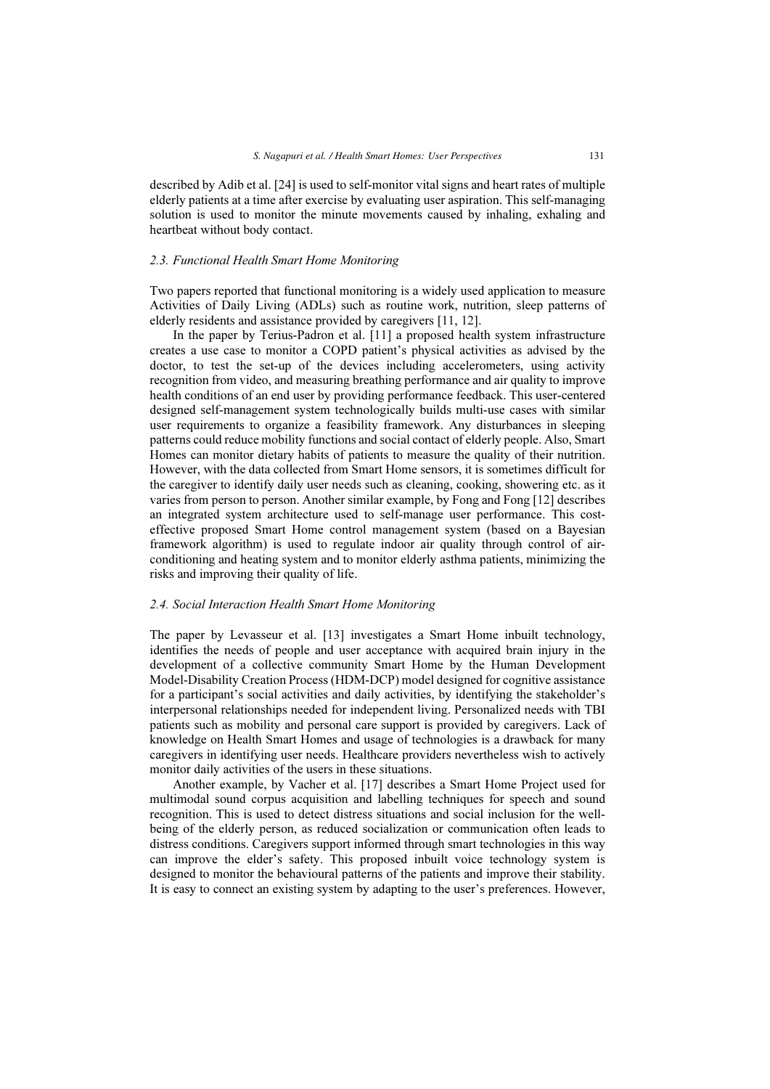described by Adib et al. [24] is used to self-monitor vital signs and heart rates of multiple elderly patients at a time after exercise by evaluating user aspiration. This self-managing solution is used to monitor the minute movements caused by inhaling, exhaling and heartbeat without body contact.

#### 2.3. Functional Health Smart Home Monitoring

Two papers reported that functional monitoring is a widely used application to measure Activities of Daily Living (ADLs) such as routine work, nutrition, sleep patterns of elderly residents and assistance provided by caregivers [11, 12].

In the paper by Terius-Padron et al. [11] a proposed health system infrastructure creates a use case to monitor a COPD patient's physical activities as advised by the doctor, to test the set-up of the devices including accelerometers, using activity recognition from video, and measuring breathing performance and air quality to improve health conditions of an end user by providing performance feedback. This user-centered designed self-management system technologically builds multi-use cases with similar user requirements to organize a feasibility framework. Any disturbances in sleeping patterns could reduce mobility functions and social contact of elderly people. Also, Smart Homes can monitor dietary habits of patients to measure the quality of their nutrition. However, with the data collected from Smart Home sensors, it is sometimes difficult for the caregiver to identify daily user needs such as cleaning, cooking, showering etc. as it varies from person to person. Another similar example, by Fong and Fong [12] describes an integrated system architecture used to self-manage user performance. This costeffective proposed Smart Home control management system (based on a Bayesian framework algorithm) is used to regulate indoor air quality through control of airconditioning and heating system and to monitor elderly asthma patients, minimizing the risks and improving their quality of life.

#### 2.4. Social Interaction Health Smart Home Monitoring

The paper by Levasseur et al. [13] investigates a Smart Home inbuilt technology, identifies the needs of people and user acceptance with acquired brain injury in the development of a collective community Smart Home by the Human Development Model-Disability Creation Process (HDM-DCP) model designed for cognitive assistance for a participant's social activities and daily activities, by identifying the stakeholder's interpersonal relationships needed for independent living. Personalized needs with TBI patients such as mobility and personal care support is provided by caregivers. Lack of knowledge on Health Smart Homes and usage of technologies is a drawback for many caregivers in identifying user needs. Healthcare providers nevertheless wish to actively monitor daily activities of the users in these situations.

Another example, by Vacher et al. [17] describes a Smart Home Project used for multimodal sound corpus acquisition and labelling techniques for speech and sound recognition. This is used to detect distress situations and social inclusion for the wellbeing of the elderly person, as reduced socialization or communication often leads to distress conditions. Caregivers support informed through smart technologies in this way can improve the elder's safety. This proposed inbuilt voice technology system is designed to monitor the behavioural patterns of the patients and improve their stability. It is easy to connect an existing system by adapting to the user's preferences. However,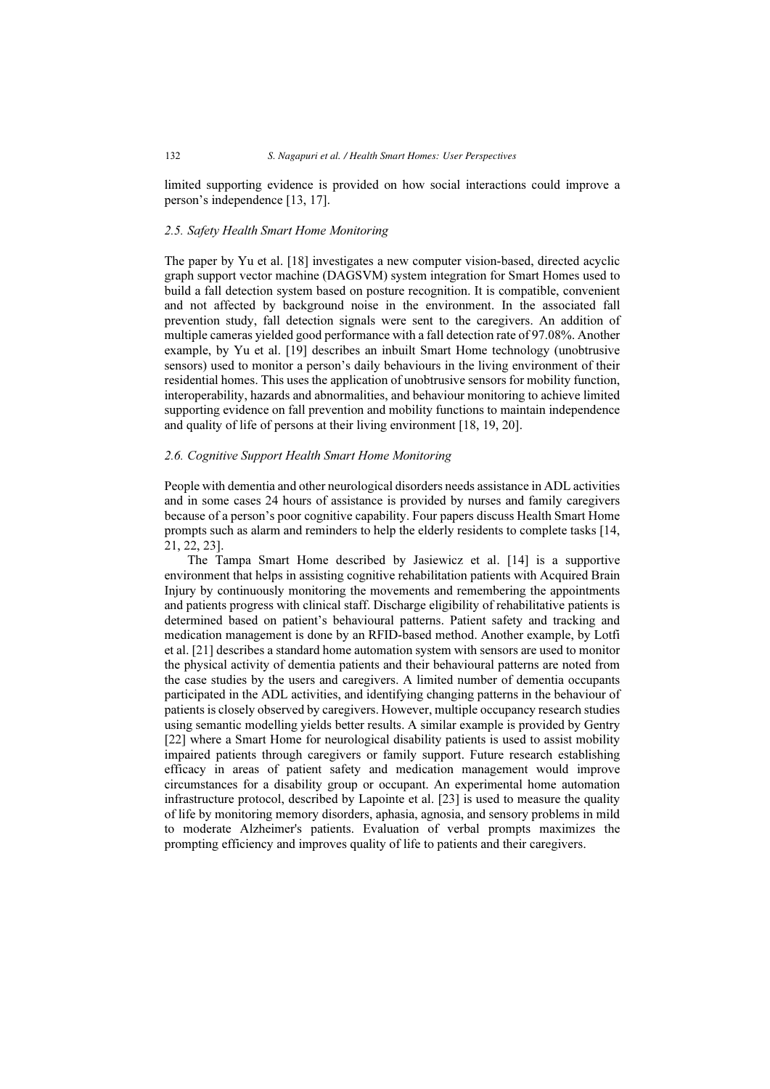limited supporting evidence is provided on how social interactions could improve a person's independence [13, 17].

# 2.5. Safety Health Smart Home Monitoring

The paper by Yu et al. [18] investigates a new computer vision-based, directed acyclic graph support vector machine (DAGSVM) system integration for Smart Homes used to build a fall detection system based on posture recognition. It is compatible, convenient and not affected by background noise in the environment. In the associated fall prevention study, fall detection signals were sent to the caregivers. An addition of multiple cameras yielded good performance with a fall detection rate of 97.08%. Another example, by Yu et al. [19] describes an inbuilt Smart Home technology (unobtrusive sensors) used to monitor a person's daily behaviours in the living environment of their residential homes. This uses the application of unobtrusive sensors for mobility function, interoperability, hazards and abnormalities, and behaviour monitoring to achieve limited supporting evidence on fall prevention and mobility functions to maintain independence and quality of life of persons at their living environment [18, 19, 20].

### 2.6. Cognitive Support Health Smart Home Monitoring

People with dementia and other neurological disorders needs assistance in ADL activities and in some cases 24 hours of assistance is provided by nurses and family caregivers because of a person's poor cognitive capability. Four papers discuss Health Smart Home prompts such as alarm and reminders to help the elderly residents to complete tasks [14, 21, 22, 23].

The Tampa Smart Home described by Jasiewicz et al. [14] is a supportive environment that helps in assisting cognitive rehabilitation patients with Acquired Brain Injury by continuously monitoring the movements and remembering the appointments and patients progress with clinical staff. Discharge eligibility of rehabilitative patients is determined based on patient's behavioural patterns. Patient safety and tracking and medication management is done by an RFID-based method. Another example, by Lotfi et al. [21] describes a standard home automation system with sensors are used to monitor the physical activity of dementia patients and their behavioural patterns are noted from the case studies by the users and caregivers. A limited number of dementia occupants participated in the ADL activities, and identifying changing patterns in the behaviour of patients is closely observed by caregivers. However, multiple occupancy research studies using semantic modelling yields better results. A similar example is provided by Gentry [22] where a Smart Home for neurological disability patients is used to assist mobility impaired patients through caregivers or family support. Future research establishing efficacy in areas of patient safety and medication management would improve circumstances for a disability group or occupant. An experimental home automation infrastructure protocol, described by Lapointe et al. [23] is used to measure the quality of life by monitoring memory disorders, aphasia, agnosia, and sensory problems in mild to moderate Alzheimer's patients. Evaluation of verbal prompts maximizes the prompting efficiency and improves quality of life to patients and their caregivers.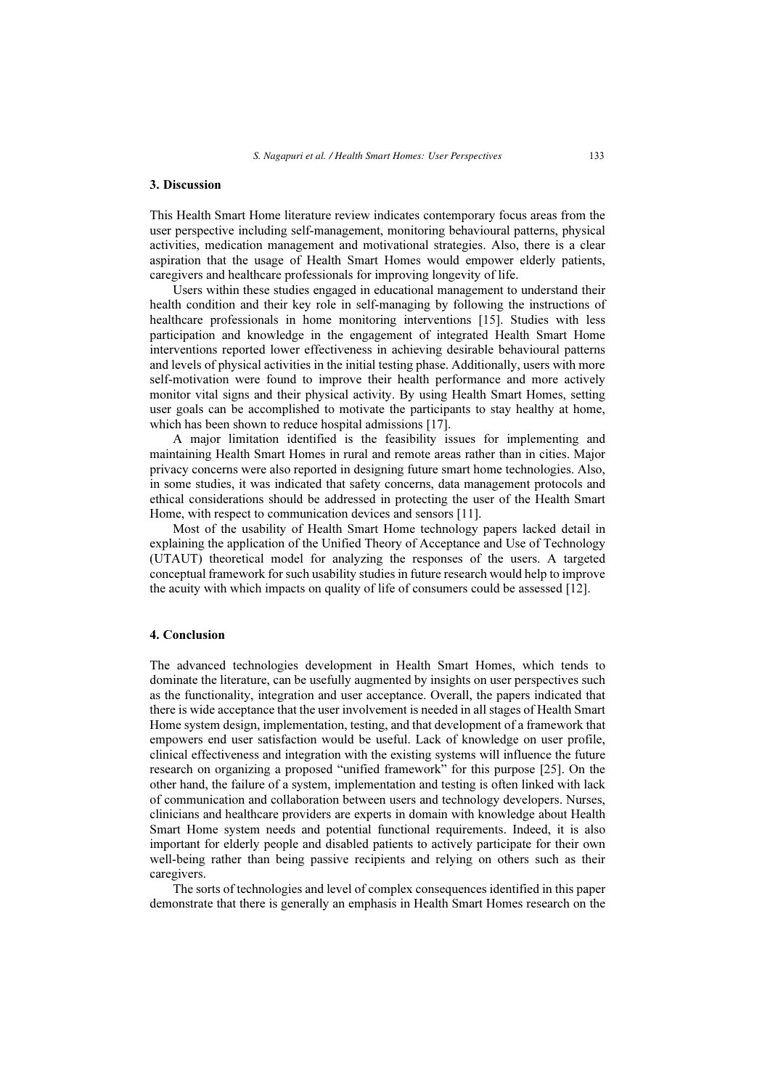# 3. Discussion

This Health Smart Home literature review indicates contemporary focus areas from the user perspective including self-management, monitoring behavioural patterns, physical activities, medication management and motivational strategies. Also, there is a clear aspiration that the usage of Health Smart Homes would empower elderly patients, caregivers and healthcare professionals for improving longevity of life.

Users within these studies engaged in educational management to understand their health condition and their key role in self-managing by following the instructions of healthcare professionals in home monitoring interventions [15]. Studies with less participation and knowledge in the engagement of integrated Health Smart Home interventions reported lower effectiveness in achieving desirable behavioural patterns and levels of physical activities in the initial testing phase. Additionally, users with more self-motivation were found to improve their health performance and more actively monitor vital signs and their physical activity. By using Health Smart Homes, setting user goals can be accomplished to motivate the participants to stay healthy at home, which has been shown to reduce hospital admissions [17].

A major limitation identified is the feasibility issues for implementing and maintaining Health Smart Homes in rural and remote areas rather than in cities. Major privacy concerns were also reported in designing future smart home technologies. Also, in some studies, it was indicated that safety concerns, data management protocols and ethical considerations should be addressed in protecting the user of the Health Smart Home, with respect to communication devices and sensors [11].

Most of the usability of Health Smart Home technology papers lacked detail in explaining the application of the Unified Theory of Acceptance and Use of Technology (UTAUT) theoretical model for analyzing the responses of the users. A targeted conceptual framework for such usability studies in future research would help to improve the acuity with which impacts on quality of life of consumers could be assessed [12].

# 4. Conclusion

The advanced technologies development in Health Smart Homes, which tends to dominate the literature, can be usefully augmented by insights on user perspectives such as the functionality, integration and user acceptance. Overall, the papers indicated that there is wide acceptance that the user involvement is needed in all stages of Health Smart Home system design, implementation, testing, and that development of a framework that empowers end user satisfaction would be useful. Lack of knowledge on user profile, clinical effectiveness and integration with the existing systems will influence the future research on organizing a proposed "unified framework" for this purpose [25]. On the other hand, the failure of a system, implementation and testing is often linked with lack of communication and collaboration between users and technology developers. Nurses, clinicians and healthcare providers are experts in domain with knowledge about Health Smart Home system needs and potential functional requirements. Indeed, it is also important for elderly people and disabled patients to actively participate for their own well-being rather than being passive recipients and relying on others such as their caregivers.

The sorts of technologies and level of complex consequences identified in this paper demonstrate that there is generally an emphasis in Health Smart Homes research on the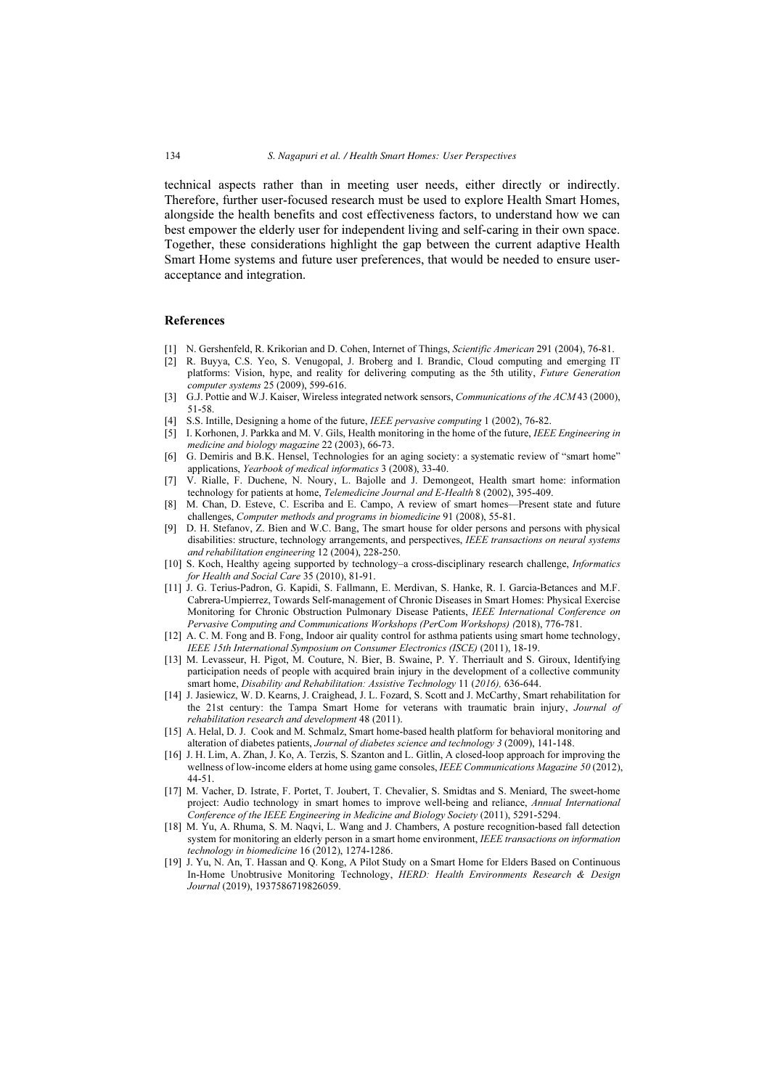technical aspects rather than in meeting user needs, either directly or indirectly. Therefore, further user-focused research must be used to explore Health Smart Homes, alongside the health benefits and cost effectiveness factors, to understand how we can best empower the elderly user for independent living and self-caring in their own space. Together, these considerations highlight the gap between the current adaptive Health Smart Home systems and future user preferences, that would be needed to ensure useracceptance and integration.

#### References

- [1] N. Gershenfeld, R. Krikorian and D. Cohen, Internet of Things, Scientific American 291 (2004), 76-81.
- [2] R. Buyya, C.S. Yeo, S. Venugopal, J. Broberg and I. Brandic, Cloud computing and emerging IT platforms: Vision, hype, and reality for delivering computing as the 5th utility, Future Generation computer systems 25 (2009), 599-616.
- [3] G.J. Pottie and W.J. Kaiser, Wireless integrated network sensors, *Communications of the ACM* 43 (2000), 51-58.
- [4] S.S. Intille, Designing a home of the future, IEEE pervasive computing 1 (2002), 76-82.
- [5] I. Korhonen, J. Parkka and M. V. Gils, Health monitoring in the home of the future, IEEE Engineering in medicine and biology magazine 22 (2003), 66-73.
- [6] G. Demiris and B.K. Hensel, Technologies for an aging society: a systematic review of "smart home" applications, Yearbook of medical informatics 3 (2008), 33-40.
- [7] V. Rialle, F. Duchene, N. Noury, L. Bajolle and J. Demongeot, Health smart home: information technology for patients at home, Telemedicine Journal and E-Health 8 (2002), 395-409.
- [8] M. Chan, D. Esteve, C. Escriba and E. Campo, A review of smart homes—Present state and future challenges, Computer methods and programs in biomedicine 91 (2008), 55-81.
- [9] D. H. Stefanov, Z. Bien and W.C. Bang, The smart house for older persons and persons with physical disabilities: structure, technology arrangements, and perspectives, IEEE transactions on neural systems and rehabilitation engineering 12 (2004), 228-250.
- [10] S. Koch, Healthy ageing supported by technology-a cross-disciplinary research challenge, Informatics for Health and Social Care 35 (2010), 81-91.
- [11] J. G. Terius-Padron, G. Kapidi, S. Fallmann, E. Merdivan, S. Hanke, R. I. Garcia-Betances and M.F. Cabrera-Umpierrez, Towards Self-management of Chronic Diseases in Smart Homes: Physical Exercise Monitoring for Chronic Obstruction Pulmonary Disease Patients, IEEE International Conference on Pervasive Computing and Communications Workshops (PerCom Workshops) (2018), 776-781.
- [12] A. C. M. Fong and B. Fong, Indoor air quality control for asthma patients using smart home technology, IEEE 15th International Symposium on Consumer Electronics (ISCE) (2011), 18-19.
- [13] M. Levasseur, H. Pigot, M. Couture, N. Bier, B. Swaine, P. Y. Therriault and S. Giroux, Identifying participation needs of people with acquired brain injury in the development of a collective community smart home, Disability and Rehabilitation: Assistive Technology 11 (2016), 636-644.
- [14] J. Jasiewicz, W. D. Kearns, J. Craighead, J. L. Fozard, S. Scott and J. McCarthy, Smart rehabilitation for the 21st century: the Tampa Smart Home for veterans with traumatic brain injury, Journal of rehabilitation research and development 48 (2011).
- [15] A. Helal, D. J. Cook and M. Schmalz, Smart home-based health platform for behavioral monitoring and alteration of diabetes patients, Journal of diabetes science and technology 3 (2009), 141-148.
- [16] J. H. Lim, A. Zhan, J. Ko, A. Terzis, S. Szanton and L. Gitlin, A closed-loop approach for improving the wellness of low-income elders at home using game consoles, IEEE Communications Magazine 50 (2012), 44-51.
- [17] M. Vacher, D. Istrate, F. Portet, T. Joubert, T. Chevalier, S. Smidtas and S. Meniard, The sweet-home project: Audio technology in smart homes to improve well-being and reliance, Annual International Conference of the IEEE Engineering in Medicine and Biology Society (2011), 5291-5294.
- [18] M. Yu, A. Rhuma, S. M. Naqvi, L. Wang and J. Chambers, A posture recognition-based fall detection system for monitoring an elderly person in a smart home environment, IEEE transactions on information technology in biomedicine 16 (2012), 1274-1286.
- [19] J. Yu, N. An, T. Hassan and Q. Kong, A Pilot Study on a Smart Home for Elders Based on Continuous In-Home Unobtrusive Monitoring Technology, HERD: Health Environments Research & Design Journal (2019), 1937586719826059.